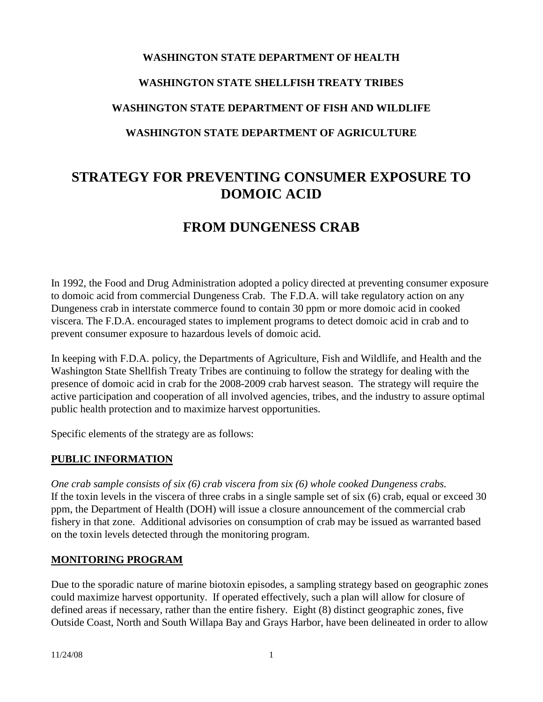# **WASHINGTON STATE DEPARTMENT OF HEALTH WASHINGTON STATE SHELLFISH TREATY TRIBES WASHINGTON STATE DEPARTMENT OF FISH AND WILDLIFE WASHINGTON STATE DEPARTMENT OF AGRICULTURE**

# **STRATEGY FOR PREVENTING CONSUMER EXPOSURE TO DOMOIC ACID**

# **FROM DUNGENESS CRAB**

In 1992, the Food and Drug Administration adopted a policy directed at preventing consumer exposure to domoic acid from commercial Dungeness Crab. The F.D.A. will take regulatory action on any Dungeness crab in interstate commerce found to contain 30 ppm or more domoic acid in cooked viscera. The F.D.A. encouraged states to implement programs to detect domoic acid in crab and to prevent consumer exposure to hazardous levels of domoic acid.

In keeping with F.D.A. policy, the Departments of Agriculture, Fish and Wildlife, and Health and the Washington State Shellfish Treaty Tribes are continuing to follow the strategy for dealing with the presence of domoic acid in crab for the 2008-2009 crab harvest season. The strategy will require the active participation and cooperation of all involved agencies, tribes, and the industry to assure optimal public health protection and to maximize harvest opportunities.

Specific elements of the strategy are as follows:

#### **PUBLIC INFORMATION**

*One crab sample consists of six (6) crab viscera from six (6) whole cooked Dungeness crabs.* If the toxin levels in the viscera of three crabs in a single sample set of six (6) crab, equal or exceed 30 ppm, the Department of Health (DOH) will issue a closure announcement of the commercial crab fishery in that zone. Additional advisories on consumption of crab may be issued as warranted based on the toxin levels detected through the monitoring program.

#### **MONITORING PROGRAM**

Due to the sporadic nature of marine biotoxin episodes, a sampling strategy based on geographic zones could maximize harvest opportunity. If operated effectively, such a plan will allow for closure of defined areas if necessary, rather than the entire fishery. Eight (8) distinct geographic zones, five Outside Coast, North and South Willapa Bay and Grays Harbor, have been delineated in order to allow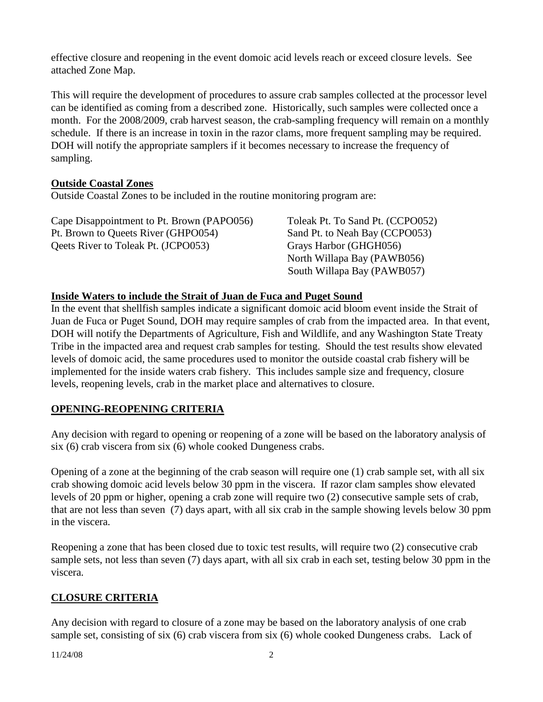effective closure and reopening in the event domoic acid levels reach or exceed closure levels. See attached Zone Map.

This will require the development of procedures to assure crab samples collected at the processor level can be identified as coming from a described zone. Historically, such samples were collected once a month. For the 2008/2009, crab harvest season, the crab-sampling frequency will remain on a monthly schedule. If there is an increase in toxin in the razor clams, more frequent sampling may be required. DOH will notify the appropriate samplers if it becomes necessary to increase the frequency of sampling.

#### **Outside Coastal Zones**

Outside Coastal Zones to be included in the routine monitoring program are:

| Cape Disappointment to Pt. Brown (PAPO056)           | Toleak Pt. To Sand Pt. (CCPO052) |
|------------------------------------------------------|----------------------------------|
| Pt. Brown to Queets River (GHPO054)                  | Sand Pt. to Neah Bay (CCPO053)   |
| <b>Original Occurs</b> River to Toleak Pt. (JCPO053) | Grays Harbor (GHGH056)           |
|                                                      | North Willapa Bay (PAWB056)      |
|                                                      | South Willapa Bay (PAWB057)      |

#### **Inside Waters to include the Strait of Juan de Fuca and Puget Sound**

In the event that shellfish samples indicate a significant domoic acid bloom event inside the Strait of Juan de Fuca or Puget Sound, DOH may require samples of crab from the impacted area. In that event, DOH will notify the Departments of Agriculture, Fish and Wildlife, and any Washington State Treaty Tribe in the impacted area and request crab samples for testing. Should the test results show elevated levels of domoic acid, the same procedures used to monitor the outside coastal crab fishery will be implemented for the inside waters crab fishery. This includes sample size and frequency, closure levels, reopening levels, crab in the market place and alternatives to closure.

## **OPENING-REOPENING CRITERIA**

Any decision with regard to opening or reopening of a zone will be based on the laboratory analysis of six (6) crab viscera from six (6) whole cooked Dungeness crabs.

Opening of a zone at the beginning of the crab season will require one (1) crab sample set, with all six crab showing domoic acid levels below 30 ppm in the viscera. If razor clam samples show elevated levels of 20 ppm or higher, opening a crab zone will require two (2) consecutive sample sets of crab, that are not less than seven (7) days apart, with all six crab in the sample showing levels below 30 ppm in the viscera.

Reopening a zone that has been closed due to toxic test results, will require two (2) consecutive crab sample sets, not less than seven (7) days apart, with all six crab in each set, testing below 30 ppm in the viscera.

#### **CLOSURE CRITERIA**

Any decision with regard to closure of a zone may be based on the laboratory analysis of one crab sample set, consisting of six (6) crab viscera from six (6) whole cooked Dungeness crabs. Lack of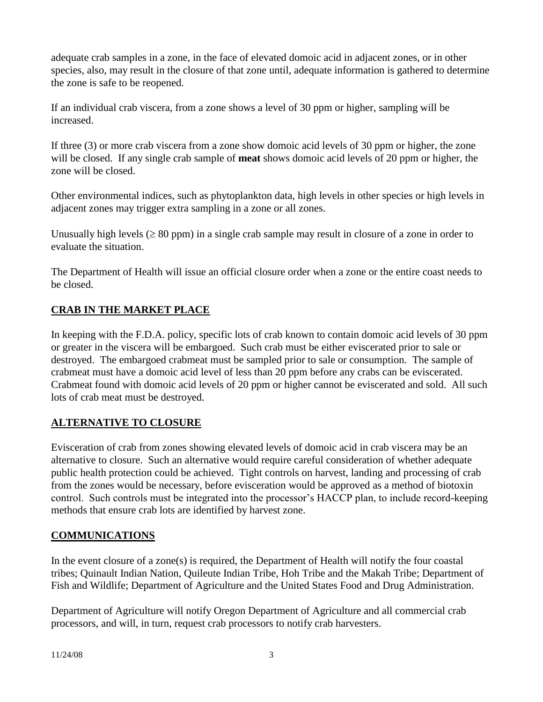adequate crab samples in a zone, in the face of elevated domoic acid in adjacent zones, or in other species, also, may result in the closure of that zone until, adequate information is gathered to determine the zone is safe to be reopened.

If an individual crab viscera, from a zone shows a level of 30 ppm or higher, sampling will be increased.

If three (3) or more crab viscera from a zone show domoic acid levels of 30 ppm or higher, the zone will be closed. If any single crab sample of **meat** shows domoic acid levels of 20 ppm or higher, the zone will be closed.

Other environmental indices, such as phytoplankton data, high levels in other species or high levels in adjacent zones may trigger extra sampling in a zone or all zones.

Unusually high levels ( $\geq 80$  ppm) in a single crab sample may result in closure of a zone in order to evaluate the situation.

The Department of Health will issue an official closure order when a zone or the entire coast needs to be closed.

# **CRAB IN THE MARKET PLACE**

In keeping with the F.D.A. policy, specific lots of crab known to contain domoic acid levels of 30 ppm or greater in the viscera will be embargoed. Such crab must be either eviscerated prior to sale or destroyed. The embargoed crabmeat must be sampled prior to sale or consumption. The sample of crabmeat must have a domoic acid level of less than 20 ppm before any crabs can be eviscerated. Crabmeat found with domoic acid levels of 20 ppm or higher cannot be eviscerated and sold. All such lots of crab meat must be destroyed.

## **ALTERNATIVE TO CLOSURE**

Evisceration of crab from zones showing elevated levels of domoic acid in crab viscera may be an alternative to closure. Such an alternative would require careful consideration of whether adequate public health protection could be achieved. Tight controls on harvest, landing and processing of crab from the zones would be necessary, before evisceration would be approved as a method of biotoxin control. Such controls must be integrated into the processor's HACCP plan, to include record-keeping methods that ensure crab lots are identified by harvest zone.

## **COMMUNICATIONS**

In the event closure of a zone(s) is required, the Department of Health will notify the four coastal tribes; Quinault Indian Nation, Quileute Indian Tribe, Hoh Tribe and the Makah Tribe; Department of Fish and Wildlife; Department of Agriculture and the United States Food and Drug Administration.

Department of Agriculture will notify Oregon Department of Agriculture and all commercial crab processors, and will, in turn, request crab processors to notify crab harvesters.